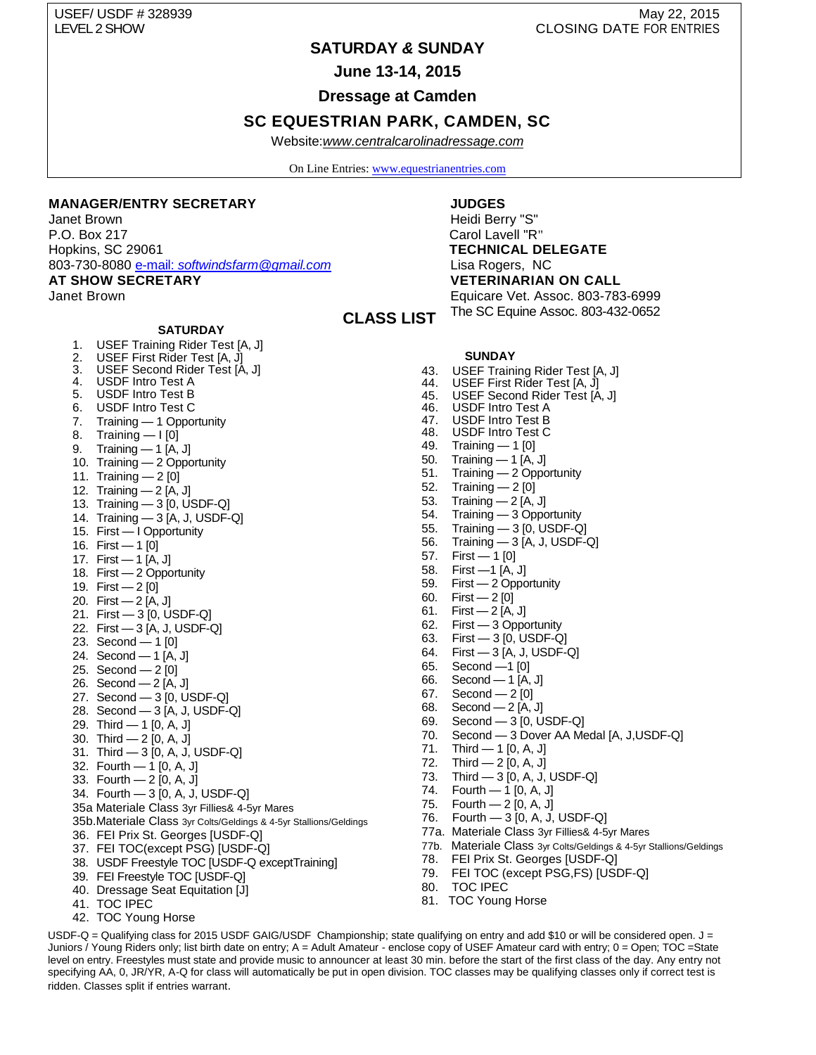USEF/ USDF # 328939 May 22, 2015

# LEVEL 2 SHOW CLOSING DATE FOR ENTRIES

# **SATURDAY** *&* **SUNDAY**

**June 13-14, 2015**

**Dressage at Camden**

# **SC EQUESTRIAN PARK, CAMDEN, SC**

Website:*[www.centralcarolinadressage.com](http://www.centralcarolinadressage.com/)*

On Line Entries[: www.equestrianentries.com](http://www.equestrianentries.com/)

 **CLASS LIST**

#### **MANAGER/ENTRY SECRETARY**

Janet Brown P.O. Box 217 Hopkins, SC 29061 803-730-8080 e-mail: *[softwindsfarm@gmail.com](mailto:e-mail:%20softwindsfarm@gmail.com)* 

**AT SHOW SECRETARY**

Janet Brown

#### **SATURDAY**

- 1. USEF Training Rider Test [A, J]
- 2. USEF First Rider Test [A, J]
- 3. USEF Second Rider Test [A, J]
- 4. USDF Intro Test A
- 5. USDF Intro Test B
- 6. USDF Intro Test C
- 7. Training 1 Opportunity
- 8. Training I [0]
- 9. Training 1 [A, J]
- 10. Training 2 Opportunity
- 11. Training 2 [0]
- 12. Training 2 [A, J]
- 13. Training 3 [0, USDF-Q]
- 14. Training 3 [A, J, USDF-Q]
- 15. First I Opportunity
- 16. First 1 [0]
- 17. First 1 [A, J]
- 18. First 2 Opportunity
- 19. First 2 [0]
- 20. First 2 [A, J]
- 21. First 3 [0, USDF-Q]
- 22. First 3 [A, J, USDF-Q]
- 23. Second 1 [0]
- 24. Second 1 [A, J]
- 25. Second 2 [0]
- 26. Second 2 [A, J]
- 27. Second 3 [0, USDF-Q]
- 28. Second 3 [A, J, USDF-Q]
- 29. Third 1 [0, A, J]
- 30. Third 2 [0, A, J]
- 31. Third 3 [0, A, J, USDF-Q]
- 32. Fourth 1 [0, A, J]
- 33. Fourth 2 [0, A, J]
- 34. Fourth 3 [0, A, J, USDF-Q]
- 35a Materiale Class 3yr Fillies& 4-5yr Mares
- 35b.Materiale Class 3yr Colts/Geldings & 4-5yr Stallions/Geldings
- 36. FEI Prix St. Georges [USDF-Q]
- 37. FEI TOC(except PSG) [USDF-Q]
- 38. USDF Freestyle TOC [USDF-Q exceptTraining]
- 39. FEI Freestyle TOC [USDF-Q]
- 40. Dressage Seat Equitation [J]
- 41. TOC IPEC
- 42. TOC Young Horse

## **JUDGES**

Heidi Berry "S" Carol Lavell "R" **TECHNICAL DELEGATE** Lisa Rogers, NC **VETERINARIAN ON CALL** Equicare Vet. Assoc. 803-783-6999 The SC Equine Assoc. 803-432-0652

#### **SUNDAY**

- 43. USEF Training Rider Test [A, J]
- 44. USEF First Rider Test [A, J]<br>45. USEF Second Rider Test [A<br>46. USDF Intro Test A
- USEF Second Rider Test [A, J]
- 46. USDF Intro Test A<br>47. USDF Intro Test B
- 47. USDF Intro Test B<br>48. USDF Intro Test C
- USDF Intro Test C
- 49. Training 1 [0]
- 50. Training 1 [A, J]<br>51. Training 2 Oppo Training — 2 Opportunity
- 52. Training 2 [0]
- 
- 53. Training 2 [A, J] 54. Training — 3 Opportunity
- 55. Training 3 [0, USDF-Q]
- 56. Training 3 [A, J, USDF-Q]
- 
- 57. First 1 [0] 58. First —1 [A, J]
- 59. First 2 Opportunity
- 60. First 2 [0]
- 
- 61. First 2 [A, J] 62. First — 3 Opportunity
- 63. First 3 [0, USDF-Q]
- 64. First 3 [A, J, USDF-Q]
- 65. Second —1 [0]
- 66. Second 1 [A, J]
- 67. Second 2 [0]
- 68. Second 2 [A, J]
- 69. Second 3 [0, USDF-Q]
- 70. Second 3 Dover AA Medal [A, J,USDF-Q]
- 71. Third 1 [0, A, J]
- 72. Third  $-2$  [0, A, J]
- 73. Third 3 [0, A, J, USDF-Q]
- 74. Fourth 1 [0, A, J]
- 75. Fourth 2 [0, A, J]
- 76. Fourth 3 [0, A, J, USDF-Q]
- 77a. Materiale Class 3yr Fillies& 4-5yr Mares
- 77b. Materiale Class 3yr Colts/Geldings & 4-5yr Stallions/Geldings
- 78. FEI Prix St. Georges [USDF-Q]
- 79. FEI TOC (except PSG,FS) [USDF-Q]
- 80. TOC IPEC
- 81. TOC Young Horse

USDF-Q = Qualifying class for 2015 USDF GAIG/USDF Championship; state qualifying on entry and add \$10 or will be considered open.  $J =$ Juniors / Young Riders only; list birth date on entry; A = Adult Amateur - enclose copy of USEF Amateur card with entry; 0 = Open; TOC =State level on entry. Freestyles must state and provide music to announcer at least 30 min. before the start of the first class of the day. Any entry not specifying AA, 0, JR/YR, A-Q for class will automatically be put in open division. TOC classes may be qualifying classes only if correct test is ridden. Classes split if entries warrant.